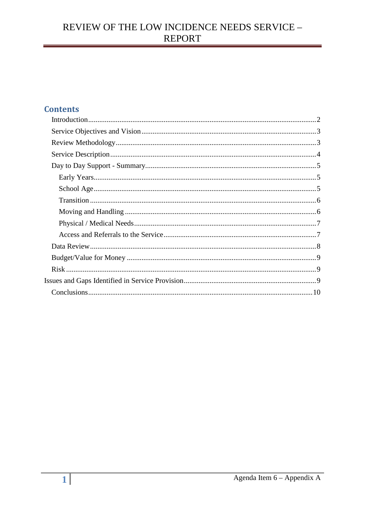## **Contents**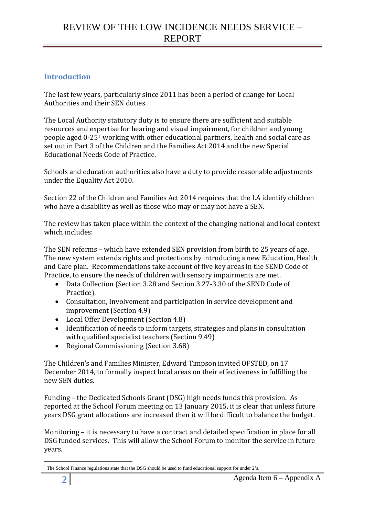## <span id="page-1-0"></span>**Introduction**

The last few years, particularly since 2011 has been a period of change for Local Authorities and their SEN duties.

The Local Authority statutory duty is to ensure there are sufficient and suitable resources and expertise for hearing and visual impairment, for children and young people aged 0-25[1](#page-1-1) working with other educational partners, health and social care as set out in Part 3 of the Children and the Families Act 2014 and the new Special Educational Needs Code of Practice.

Schools and education authorities also have a duty to provide reasonable adjustments under the Equality Act 2010.

Section 22 of the Children and Families Act 2014 requires that the LA identify children who have a disability as well as those who may or may not have a SEN.

The review has taken place within the context of the changing national and local context which includes:

The SEN reforms – which have extended SEN provision from birth to 25 years of age. The new system extends rights and protections by introducing a new Education, Health and Care plan. Recommendations take account of five key areas in the SEND Code of Practice, to ensure the needs of children with sensory impairments are met.

- Data Collection (Section 3.28 and Section 3.27-3.30 of the SEND Code of Practice).
- Consultation, Involvement and participation in service development and improvement (Section 4.9)
- Local Offer Development (Section 4.8)
- Identification of needs to inform targets, strategies and plans in consultation with qualified specialist teachers (Section 9.49)
- Regional Commissioning (Section 3.68)

The Children's and Families Minister, Edward Timpson invited OFSTED, on 17 December 2014, to formally inspect local areas on their effectiveness in fulfilling the new SEN duties.

Funding – the Dedicated Schools Grant (DSG) high needs funds this provision. As reported at the School Forum meeting on 13 January 2015, it is clear that unless future years DSG grant allocations are increased then it will be difficult to balance the budget.

Monitoring – it is necessary to have a contract and detailed specification in place for all DSG funded services. This will allow the School Forum to monitor the service in future years.

<span id="page-1-1"></span><sup>&</sup>lt;sup>1</sup> The School Finance regulations state that the DSG should be used to fund educational support for under 2's. <u>.</u>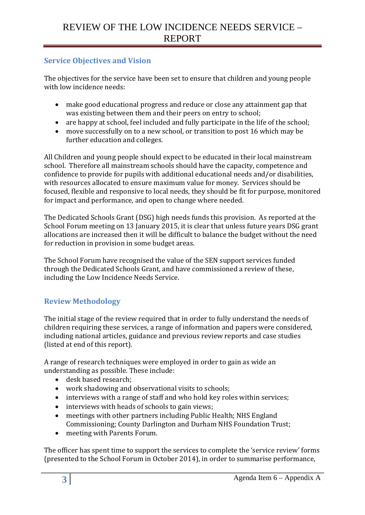## <span id="page-2-0"></span>**Service Objectives and Vision**

The objectives for the service have been set to ensure that children and young people with low incidence needs:

- make good educational progress and reduce or close any attainment gap that was existing between them and their peers on entry to school;
- are happy at school, feel included and fully participate in the life of the school;<br>• move successfully on to a new school, or transition to post 16 which may be
- move successfully on to a new school, or transition to post 16 which may be further education and colleges.

All Children and young people should expect to be educated in their local mainstream school. Therefore all mainstream schools should have the capacity, competence and confidence to provide for pupils with additional educational needs and/or disabilities, with resources allocated to ensure maximum value for money. Services should be focused, flexible and responsive to local needs, they should be fit for purpose, monitored for impact and performance, and open to change where needed.

The Dedicated Schools Grant (DSG) high needs funds this provision. As reported at the School Forum meeting on 13 January 2015, it is clear that unless future years DSG grant allocations are increased then it will be difficult to balance the budget without the need for reduction in provision in some budget areas.

The School Forum have recognised the value of the SEN support services funded through the Dedicated Schools Grant, and have commissioned a review of these, including the Low Incidence Needs Service.

### <span id="page-2-1"></span>**Review Methodology**

The initial stage of the review required that in order to fully understand the needs of children requiring these services, a range of information and papers were considered, including national articles, guidance and previous review reports and case studies (listed at end of this report).

A range of research techniques were employed in order to gain as wide an understanding as possible. These include:

- desk based research;
- work shadowing and observational visits to schools;
- interviews with a range of staff and who hold key roles within services;
- interviews with heads of schools to gain views;<br>• meetings with other partners including Public I
- meetings with other partners including Public Health; NHS England Commissioning; County Darlington and Durham NHS Foundation Trust;
- meeting with Parents Forum.

The officer has spent time to support the services to complete the 'service review' forms (presented to the School Forum in October 2014), in order to summarise performance,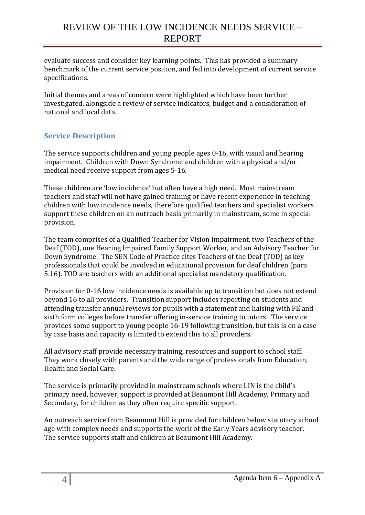evaluate success and consider key learning points. This has provided a summary benchmark of the current service position, and fed into development of current service specifications.

Initial themes and areas of concern were highlighted which have been further investigated, alongside a review of service indicators, budget and a consideration of national and local data.

## <span id="page-3-0"></span>**Service Description**

The service supports children and young people ages 0-16, with visual and hearing impairment. Children with Down Syndrome and children with a physical and/or medical need receive support from ages 5-16.

These children are 'low incidence' but often have a high need. Most mainstream teachers and staff will not have gained training or have recent experience in teaching children with low incidence needs, therefore qualified teachers and specialist workers support these children on an outreach basis primarily in mainstream, some in special provision.

The team comprises of a Qualified Teacher for Vision Impairment, two Teachers of the Deaf (TOD), one Hearing Impaired Family Support Worker, and an Advisory Teacher for Down Syndrome. The SEN Code of Practice cites Teachers of the Deaf (TOD) as key professionals that could be involved in educational provision for deaf children (para 5.16). TOD are teachers with an additional specialist mandatory qualification.

Provision for 0-16 low incidence needs is available up to transition but does not extend beyond 16 to all providers. Transition support includes reporting on students and attending transfer annual reviews for pupils with a statement and liaising with FE and sixth form colleges before transfer offering in-service training to tutors. The service provides some support to young people 16-19 following transition, but this is on a case by case basis and capacity is limited to extend this to all providers.

All advisory staff provide necessary training, resources and support to school staff. They work closely with parents and the wide range of professionals from Education, Health and Social Care.

The service is primarily provided in mainstream schools where LIN is the child's primary need, however, support is provided at Beaumont Hill Academy, Primary and Secondary, for children as they often require specific support.

An outreach service from Beaumont Hill is provided for children below statutory school age with complex needs and supports the work of the Early Years advisory teacher. The service supports staff and children at Beaumont Hill Academy.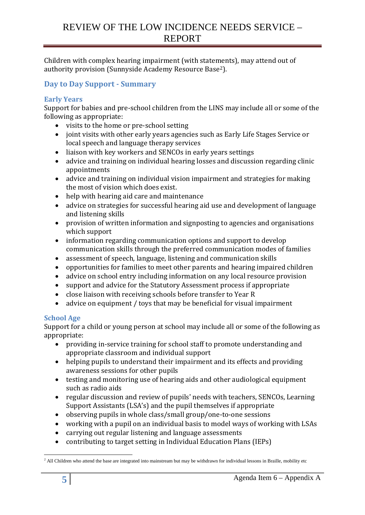Children with complex hearing impairment (with statements), may attend out of authority provision (Sunnyside Academy Resource Base[2\)](#page-4-3).

### <span id="page-4-0"></span>**Day to Day Support - Summary**

#### <span id="page-4-1"></span>**Early Years**

Support for babies and pre-school children from the LINS may include all or some of the following as appropriate:

- visits to the home or pre-school setting
- joint visits with other early years agencies such as Early Life Stages Service or local speech and language therapy services
- liaison with key workers and SENCOs in early years settings<br>• advice and training on individual hearing losses and discussi
- advice and training on individual hearing losses and discussion regarding clinic appointments
- advice and training on individual vision impairment and strategies for making the most of vision which does exist.
- help with hearing aid care and maintenance<br>• advice on strategies for successful hearing ai
- advice on strategies for successful hearing aid use and development of language and listening skills
- provision of written information and signposting to agencies and organisations which support
- information regarding communication options and support to develop communication skills through the preferred communication modes of families
- assessment of speech, language, listening and communication skills
- opportunities for families to meet other parents and hearing impaired children
- advice on school entry including information on any local resource provision<br>• sunnort and advice for the Statutory Assessment process if appropriate
- support and advice for the Statutory Assessment process if appropriate
- close liaison with receiving schools before transfer to Year R
- advice on equipment / toys that may be beneficial for visual impairment

#### <span id="page-4-2"></span>**School Age**

Support for a child or young person at school may include all or some of the following as appropriate:

- providing in-service training for school staff to promote understanding and appropriate classroom and individual support
- helping pupils to understand their impairment and its effects and providing awareness sessions for other pupils
- testing and monitoring use of hearing aids and other audiological equipment such as radio aids
- regular discussion and review of pupils' needs with teachers, SENCOs, Learning Support Assistants (LSA's) and the pupil themselves if appropriate
- observing pupils in whole class/small group/one-to-one sessions
- working with a pupil on an individual basis to model ways of working with LSAs<br>• carrying out regular listening and language assessments
- carrying out regular listening and language assessments
- contributing to target setting in Individual Education Plans (IEPs)

<span id="page-4-3"></span> $<sup>2</sup>$  All Children who attend the base are integrated into mainstream but may be withdrawn for individual lessons in Braille, mobility etc</sup> -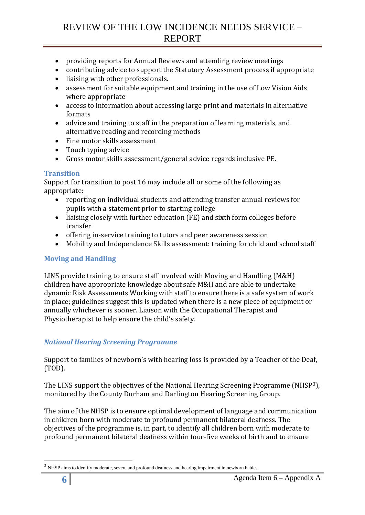- providing reports for Annual Reviews and attending review meetings
- contributing advice to support the Statutory Assessment process if appropriate
- liaising with other professionals.
- assessment for suitable equipment and training in the use of Low Vision Aids where appropriate
- access to information about accessing large print and materials in alternative formats
- advice and training to staff in the preparation of learning materials, and alternative reading and recording methods
- Fine motor skills assessment
- Touch typing advice
- Gross motor skills assessment/general advice regards inclusive PE.

### <span id="page-5-0"></span>**Transition**

Support for transition to post 16 may include all or some of the following as appropriate:

- reporting on individual students and attending transfer annual reviews for pupils with a statement prior to starting college
- liaising closely with further education (FE) and sixth form colleges before transfer
- offering in-service training to tutors and peer awareness session<br>• Mobility and Independence Skills assessment: training for child a
- Mobility and Independence Skills assessment: training for child and school staff

#### <span id="page-5-1"></span>**Moving and Handling**

LINS provide training to ensure staff involved with Moving and Handling (M&H) children have appropriate knowledge about safe M&H and are able to undertake dynamic Risk Assessments Working with staff to ensure there is a safe system of work in place; guidelines suggest this is updated when there is a new piece of equipment or annually whichever is sooner. Liaison with the Occupational Therapist and Physiotherapist to help ensure the child's safety.

### *National Hearing Screening Programme*

Support to families of newborn's with hearing loss is provided by a Teacher of the Deaf, (TOD).

The LINS support the objectives of the National Hearing Screening Programme (NHSP[3\)](#page-5-2), monitored by the County Durham and Darlington Hearing Screening Group.

The aim of the NHSP is to ensure optimal development of language and communication in children born with moderate to profound permanent bilateral deafness. The objectives of the programme is, in part, to identify all children born with moderate to profound permanent bilateral deafness within four-five weeks of birth and to ensure

<u>.</u>

<span id="page-5-2"></span>NHSP aims to identify moderate, severe and profound deafness and hearing impairment in newborn babies.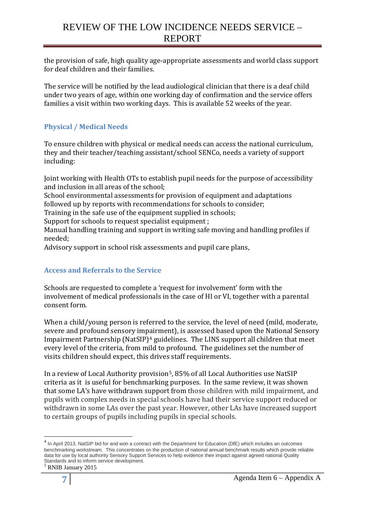the provision of safe, high quality age-appropriate assessments and world class support for deaf children and their families.

The service will be notified by the lead audiological clinician that there is a deaf child under two years of age, within one working day of confirmation and the service offers families a visit within two working days. This is available 52 weeks of the year.

### <span id="page-6-0"></span>**Physical / Medical Needs**

To ensure children with physical or medical needs can access the national curriculum, they and their teacher/teaching assistant/school SENCo, needs a variety of support including:

Joint working with Health OTs to establish pupil needs for the purpose of accessibility and inclusion in all areas of the school;

School environmental assessments for provision of equipment and adaptations followed up by reports with recommendations for schools to consider;

Training in the safe use of the equipment supplied in schools;

Support for schools to request specialist equipment ;

Manual handling training and support in writing safe moving and handling profiles if needed;

Advisory support in school risk assessments and pupil care plans,

### <span id="page-6-1"></span>**Access and Referrals to the Service**

Schools are requested to complete a 'request for involvement' form with the involvement of medical professionals in the case of HI or VI, together with a parental consent form.

When a child/young person is referred to the service, the level of need (mild, moderate, severe and profound sensory imp[a](#page-6-2)irment), is assessed based upon the National Sensory Impairment Partnership (NatSIP)4 guidelines. The LINS support all children that meet every level of the criteria, from mild to profound. The guidelines set the number of visits children should expect, this drives staff requirements.

In a review of Local Authority provision[5](#page-6-3), 85% of all Local Authorities use NatSIP criteria as it is useful for benchmarking purposes. In the same review, it was shown that some LA's have withdrawn support from those children with mild impairment, and pupils with complex needs in special schools have had their service support reduced or withdrawn in some LAs over the past year. However, other LAs have increased support to certain groups of pupils including pupils in special schools.

-

<span id="page-6-2"></span> $^4$  In April 2013, NatSIP bid for and won a contract with the Department for Education (DfE) which includes an outcomes benchmarking workstream. This concentrates on the production of national annual benchmark results which provide reliable data for use by local authority Sensory Support Services to help evidence their impact against agreed national Quality Standards and to inform service development.

<span id="page-6-3"></span><sup>5</sup> RNIB January 2015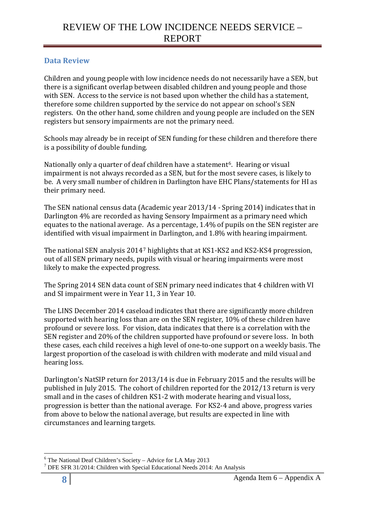## <span id="page-7-0"></span>**Data Review**

Children and young people with low incidence needs do not necessarily have a SEN, but there is a significant overlap between disabled children and young people and those with SEN. Access to the service is not based upon whether the child has a statement, therefore some children supported by the service do not appear on school's SEN registers. On the other hand, some children and young people are included on the SEN registers but sensory impairments are not the primary need.

Schools may already be in receipt of SEN funding for these children and therefore there is a possibility of double funding.

Nationally only a quarter of deaf children have a statement<sup>[6](#page-7-1)</sup>. Hearing or visual impairment is not always recorded as a SEN, but for the most severe cases, is likely to be. A very small number of children in Darlington have EHC Plans/statements for HI as their primary need.

The SEN national census data (Academic year 2013/14 - Spring 2014) indicates that in Darlington 4% are recorded as having Sensory Impairment as a primary need which equates to the national average. As a percentage, 1.4% of pupils on the SEN register are identified with visual impairment in Darlington, and 1.8% with hearing impairment.

The national SEN analysis 2014[7](#page-7-2) highlights that at KS1-KS2 and KS2-KS4 progression, out of all SEN primary needs, pupils with visual or hearing impairments were most likely to make the expected progress.

The Spring 2014 SEN data count of SEN primary need indicates that 4 children with VI and SI impairment were in Year 11, 3 in Year 10.

The LINS December 2014 caseload indicates that there are significantly more children supported with hearing loss than are on the SEN register, 10% of these children have profound or severe loss. For vision, data indicates that there is a correlation with the SEN register and 20% of the children supported have profound or severe loss. In both these cases, each child receives a high level of one-to-one support on a weekly basis. The largest proportion of the caseload is with children with moderate and mild visual and hearing loss.

Darlington's NatSIP return for 2013/14 is due in February 2015 and the results will be published in July 2015. The cohort of children reported for the 2012/13 return is very small and in the cases of children KS1-2 with moderate hearing and visual loss, progression is better than the national average. For KS2-4 and above, progress varies from above to below the national average, but results are expected in line with circumstances and learning targets.

<sup>&</sup>lt;u>.</u>

<span id="page-7-2"></span><span id="page-7-1"></span><sup>&</sup>lt;sup>6</sup> The National Deaf Children's Society – Advice for LA May 2013<br><sup>7</sup> DFE SFR 31/2014: Children with Special Educational Needs 2014: An Analysis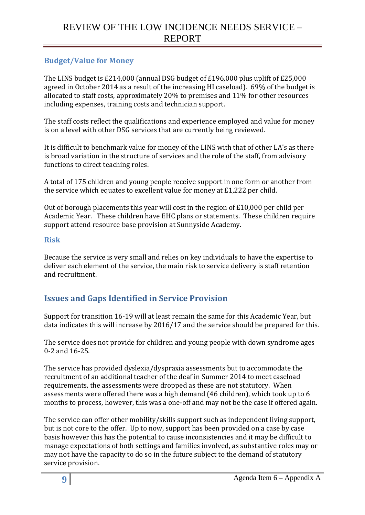### <span id="page-8-0"></span>**Budget/Value for Money**

The LINS budget is £214,000 (annual DSG budget of £196,000 plus uplift of £25,000 agreed in October 2014 as a result of the increasing HI caseload). 69% of the budget is allocated to staff costs, approximately 20% to premises and 11% for other resources including expenses, training costs and technician support.

The staff costs reflect the qualifications and experience employed and value for money is on a level with other DSG services that are currently being reviewed.

It is difficult to benchmark value for money of the LINS with that of other LA's as there is broad variation in the structure of services and the role of the staff, from advisory functions to direct teaching roles.

A total of 175 children and young people receive support in one form or another from the service which equates to excellent value for money at £1,222 per child.

Out of borough placements this year will cost in the region of £10,000 per child per Academic Year. These children have EHC plans or statements. These children require support attend resource base provision at Sunnyside Academy.

#### <span id="page-8-1"></span>**Risk**

Because the service is very small and relies on key individuals to have the expertise to deliver each element of the service, the main risk to service delivery is staff retention and recruitment.

## <span id="page-8-2"></span>**Issues and Gaps Identified in Service Provision**

Support for transition 16-19 will at least remain the same for this Academic Year, but data indicates this will increase by 2016/17 and the service should be prepared for this.

The service does not provide for children and young people with down syndrome ages 0-2 and 16-25.

The service has provided dyslexia/dyspraxia assessments but to accommodate the recruitment of an additional teacher of the deaf in Summer 2014 to meet caseload requirements, the assessments were dropped as these are not statutory. When assessments were offered there was a high demand (46 children), which took up to 6 months to process, however, this was a one-off and may not be the case if offered again.

The service can offer other mobility/skills support such as independent living support, but is not core to the offer. Up to now, support has been provided on a case by case basis however this has the potential to cause inconsistencies and it may be difficult to manage expectations of both settings and families involved, as substantive roles may or may not have the capacity to do so in the future subject to the demand of statutory service provision.